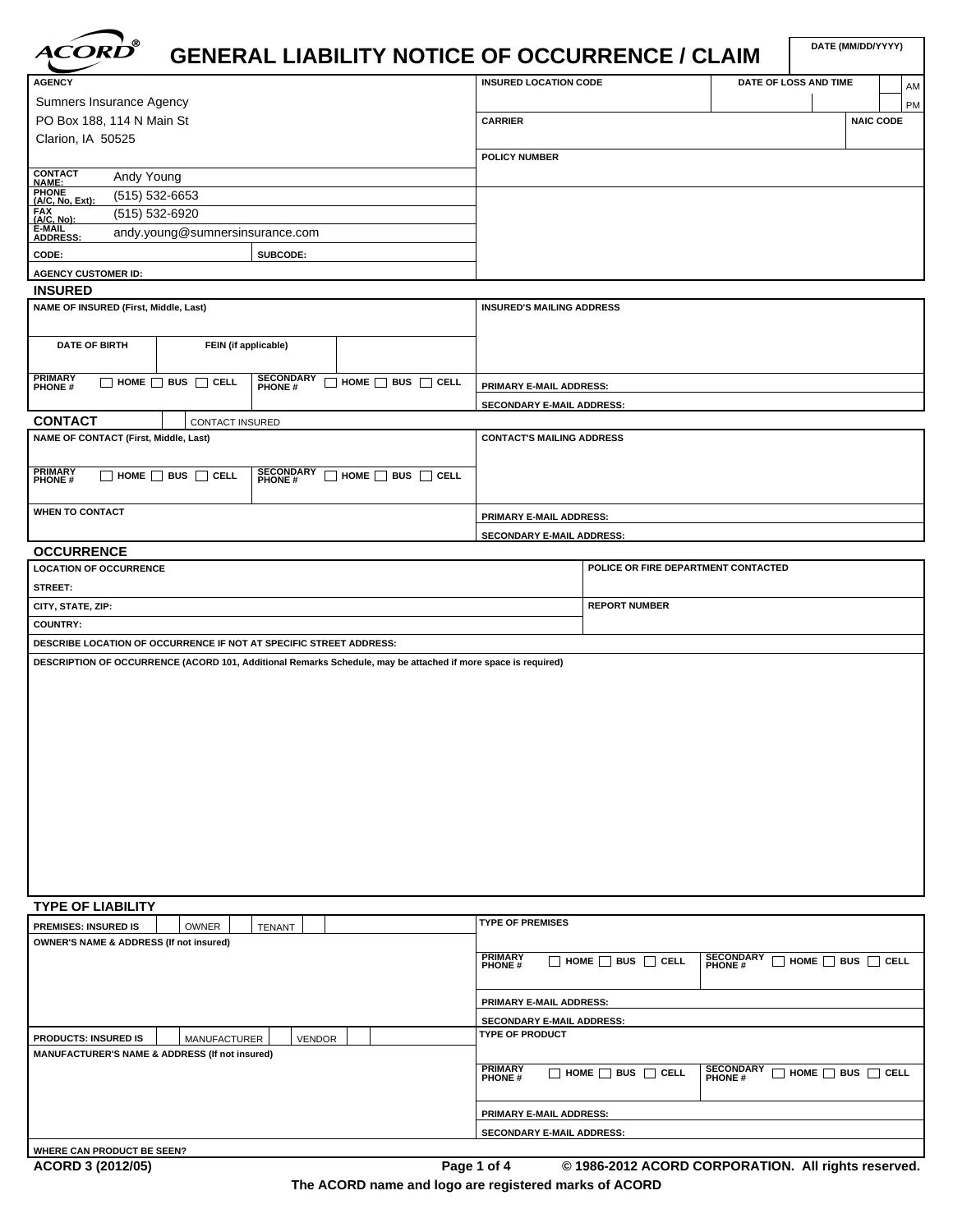| <i><b>ACORD</b></i> | DATE (MM/DD/YYYY)<br><b>GENERAL LIABILITY NOTICE OF OCCURRENCE / CLAIM</b> |                                |  |                              |    |  |  |  |  |
|---------------------|----------------------------------------------------------------------------|--------------------------------|--|------------------------------|----|--|--|--|--|
| <b>AGENCY</b>       |                                                                            | <b>I INSURED LOCATION CODE</b> |  | <b>DATE OF LOSS AND TIME</b> | AM |  |  |  |  |

|                                         | Sumners Insurance Agency        |                |                      | PM |
|-----------------------------------------|---------------------------------|----------------|----------------------|----|
| PO Box 188, 114 N Main St               |                                 | <b>CARRIER</b> | <b>NAIC CODE</b>     |    |
| Clarion, IA 50525                       |                                 |                |                      |    |
|                                         |                                 |                | <b>POLICY NUMBER</b> |    |
| CONTACT<br>NAME:                        | Andy Young                      |                |                      |    |
| PHONE<br>(A/C, No, Ext):                | (515) 532-6653                  |                |                      |    |
|                                         | (515) 532-6920                  |                |                      |    |
| FAX<br>(A/C, No):<br>E-MAIL<br>ADDRESS: | andy.young@sumnersinsurance.com |                |                      |    |
| CODE:                                   |                                 | SUBCODE:       |                      |    |
| <b>AGENCY CUSTOMER ID:</b>              |                                 |                |                      |    |

### **INSURED**

| NAME OF INSURED (First, Middle, Last)                                                                                                            |                        |                                   |                                    | <b>INSURED'S MAILING ADDRESS</b> |
|--------------------------------------------------------------------------------------------------------------------------------------------------|------------------------|-----------------------------------|------------------------------------|----------------------------------|
|                                                                                                                                                  |                        |                                   |                                    |                                  |
| <b>DATE OF BIRTH</b>                                                                                                                             | FEIN (if applicable)   |                                   |                                    |                                  |
|                                                                                                                                                  |                        |                                   |                                    |                                  |
| <b>PRIMARY</b><br>$ $ home $\Box$ bus $\Box$ cell<br><b>PHONE#</b>                                                                               |                        | <b>SECONDARY</b><br><b>PHONE#</b> | $\Box$ HOME $\Box$ BUS $\Box$ CELL | PRIMARY E-MAIL ADDRESS:          |
|                                                                                                                                                  |                        |                                   |                                    | <b>SECONDARY E-MAIL ADDRESS:</b> |
| <b>CONTACT</b>                                                                                                                                   | <b>CONTACT INSURED</b> |                                   |                                    |                                  |
| NAME OF CONTACT (First, Middle, Last)                                                                                                            |                        |                                   |                                    | <b>CONTACT'S MAILING ADDRESS</b> |
|                                                                                                                                                  |                        |                                   |                                    |                                  |
| <b>PRIMARY</b><br><b>SECONDARY</b><br>$\Box$ HOME $\Box$ BUS $\Box$ CELL<br>$\Box$ HOME $\Box$ BUS $\Box$ CELL<br><b>PHONE#</b><br><b>PHONE#</b> |                        |                                   |                                    |                                  |
|                                                                                                                                                  |                        |                                   |                                    |                                  |
| <b>WHEN TO CONTACT</b>                                                                                                                           |                        |                                   |                                    | PRIMARY E-MAIL ADDRESS:          |
|                                                                                                                                                  |                        |                                   |                                    | <b>SECONDARY E-MAIL ADDRESS:</b> |

## **OCCURRENCE**

| <b>I LOCATION OF OCCURRENCE</b>                                            | POLICE OR FIRE DEPARTMENT CONTACTED |  |  |  |  |
|----------------------------------------------------------------------------|-------------------------------------|--|--|--|--|
| STREET:                                                                    |                                     |  |  |  |  |
| CITY, STATE, ZIP:                                                          | <b>REPORT NUMBER</b>                |  |  |  |  |
| COUNTRY:                                                                   |                                     |  |  |  |  |
| <u>begabibe : aciticii ae acouppeuae is uas is absoluío asbers ibbbeca</u> |                                     |  |  |  |  |

**DESCRIBE LOCATION OF OCCURRENCE IF NOT AT SPECIFIC STREET ADDRESS:**

**DESCRIPTION OF OCCURRENCE (ACORD 101, Additional Remarks Schedule, may be attached if more space is required)**

### **TYPE OF LIABILITY**

| <b>PREMISES: INSURED IS</b>                               | OWNER |              | <b>TENANT</b> |               |  | <b>TYPE OF PREMISES</b>                                                                                                                                              |  |  |
|-----------------------------------------------------------|-------|--------------|---------------|---------------|--|----------------------------------------------------------------------------------------------------------------------------------------------------------------------|--|--|
| <b>OWNER'S NAME &amp; ADDRESS (If not insured)</b>        |       |              |               |               |  |                                                                                                                                                                      |  |  |
|                                                           |       |              |               |               |  | PRIMARY<br><b>SECONDARY</b><br>$\Box$ HOME $\Box$ BUS $\Box$ CELL<br>$\sqcap$ home $\sqcap$ bus $\sqcap$ cell<br><b>PHONE#</b><br><b>PHONE#</b>                      |  |  |
|                                                           |       |              |               |               |  | <b>PRIMARY E-MAIL ADDRESS:</b>                                                                                                                                       |  |  |
|                                                           |       |              |               |               |  | <b>SECONDARY E-MAIL ADDRESS:</b>                                                                                                                                     |  |  |
| <b>PRODUCTS: INSURED IS</b>                               |       | MANUFACTURER |               | <b>VENDOR</b> |  | <b>TYPE OF PRODUCT</b>                                                                                                                                               |  |  |
| <b>MANUFACTURER'S NAME &amp; ADDRESS (If not insured)</b> |       |              |               |               |  |                                                                                                                                                                      |  |  |
|                                                           |       |              |               |               |  | <b>PRIMARY</b><br><b>SECONDARY</b><br>$\vert$ home $\vert \vert$ bus $\vert \vert$ cell<br>$\sqcap$ home $\sqcap$ bus $\sqcap$ cell<br>Г<br>PHONE #<br><b>PHONE#</b> |  |  |
|                                                           |       |              |               |               |  | <b>PRIMARY E-MAIL ADDRESS:</b>                                                                                                                                       |  |  |
|                                                           |       |              |               |               |  | <b>SECONDARY E-MAIL ADDRESS:</b>                                                                                                                                     |  |  |
| <b>WHERE CAN PRODUCT BE SEEN?</b>                         |       |              |               |               |  |                                                                                                                                                                      |  |  |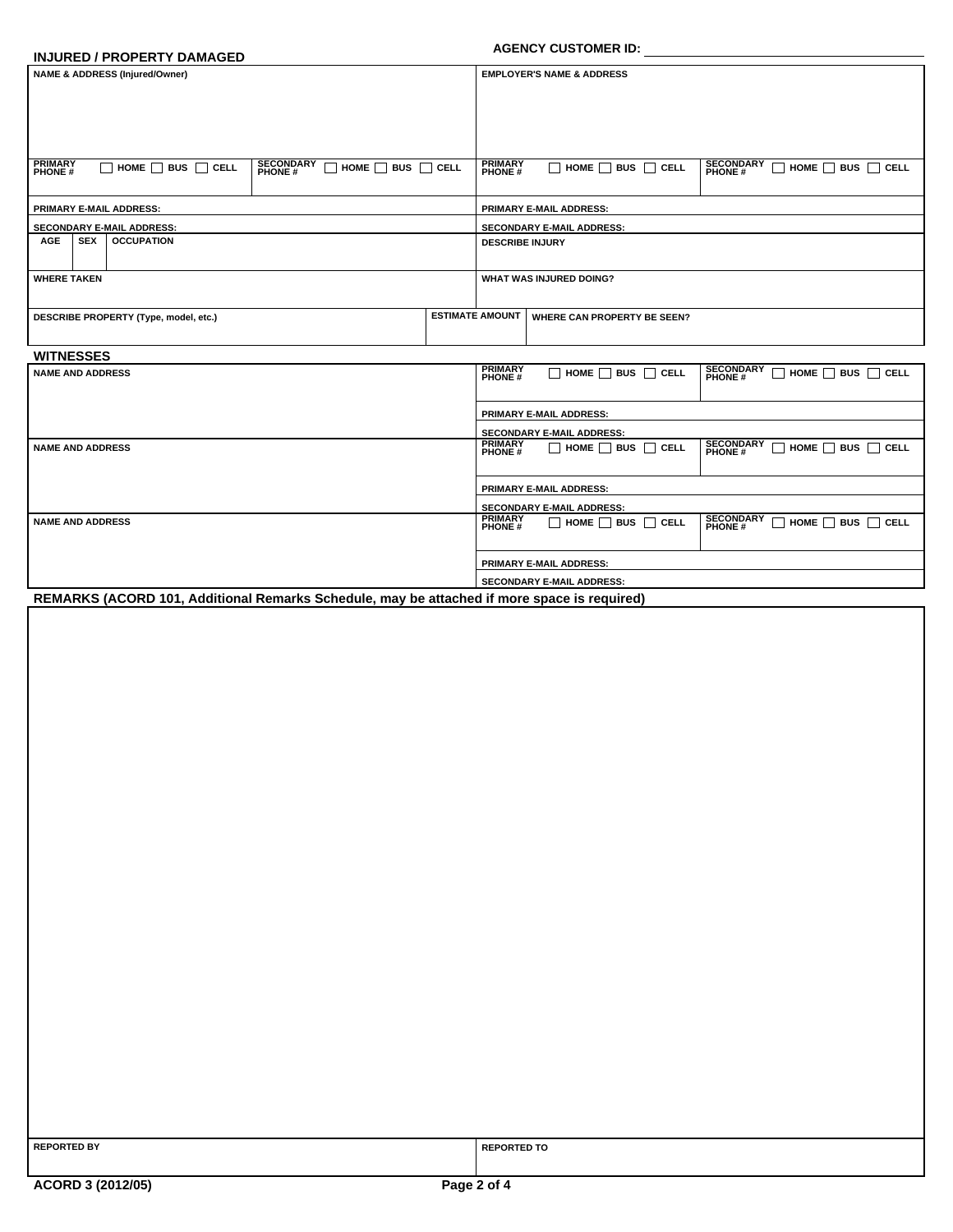#### **INJURED / PROPERTY DAMAGED**

# **AGENCY CUSTOMER ID:**

| <b>NAME &amp; ADDRESS (Injured/Owner)</b> |                                 |                                    |                                                                         | <b>EMPLOYER'S NAME &amp; ADDRESS</b> |                                    |                                    |                                                                         |
|-------------------------------------------|---------------------------------|------------------------------------|-------------------------------------------------------------------------|--------------------------------------|------------------------------------|------------------------------------|-------------------------------------------------------------------------|
|                                           |                                 |                                    |                                                                         |                                      |                                    |                                    |                                                                         |
|                                           |                                 |                                    |                                                                         |                                      |                                    |                                    |                                                                         |
|                                           |                                 |                                    |                                                                         |                                      |                                    |                                    |                                                                         |
|                                           |                                 |                                    |                                                                         |                                      |                                    |                                    |                                                                         |
| <b>PRIMARY</b><br><b>PHONE#</b>           |                                 | $\Box$ home $\Box$ bus $\Box$ cell | <b>SECONDARY</b><br>$\Box$ HOME $\Box$ BUS $\Box$ CELL<br><b>PHONE#</b> |                                      | <b>PRIMARY</b><br><b>PHONE#</b>    | $\Box$ HOME $\Box$ BUS $\Box$ CELL | <b>SECONDARY</b><br>$\Box$ HOME $\Box$ BUS $\Box$ CELL<br><b>PHONE#</b> |
|                                           |                                 |                                    |                                                                         |                                      |                                    |                                    |                                                                         |
| <b>PRIMARY E-MAIL ADDRESS:</b>            |                                 |                                    |                                                                         | <b>PRIMARY E-MAIL ADDRESS:</b>       |                                    |                                    |                                                                         |
| <b>SECONDARY E-MAIL ADDRESS:</b>          |                                 |                                    |                                                                         |                                      | <b>SECONDARY E-MAIL ADDRESS:</b>   |                                    |                                                                         |
| AGE                                       | <b>SEX</b><br><b>OCCUPATION</b> |                                    |                                                                         |                                      |                                    | <b>DESCRIBE INJURY</b>             |                                                                         |
|                                           |                                 |                                    |                                                                         |                                      |                                    |                                    |                                                                         |
| <b>WHERE TAKEN</b>                        |                                 |                                    | <b>WHAT WAS INJURED DOING?</b>                                          |                                      |                                    |                                    |                                                                         |
|                                           |                                 |                                    |                                                                         |                                      |                                    |                                    |                                                                         |
| DESCRIBE PROPERTY (Type, model, etc.)     |                                 |                                    |                                                                         | <b>ESTIMATE AMOUNT</b>               | <b>WHERE CAN PROPERTY BE SEEN?</b> |                                    |                                                                         |
|                                           |                                 |                                    |                                                                         |                                      |                                    |                                    |                                                                         |

### **NAME AND ADDRESS WITNESSES**

| <b>PRIMARY</b><br><b>SECONDARY</b><br>$\Box$ home $\Box$ bus $\Box$ cell<br>$HOME \cap BUS \cap CEL$                                             |  |  |  |  |  |  |
|--------------------------------------------------------------------------------------------------------------------------------------------------|--|--|--|--|--|--|
| <b>PHONE#</b><br><b>PHONE#</b>                                                                                                                   |  |  |  |  |  |  |
|                                                                                                                                                  |  |  |  |  |  |  |
| <b>PRIMARY E-MAIL ADDRESS:</b>                                                                                                                   |  |  |  |  |  |  |
| <b>SECONDARY E-MAIL ADDRESS:</b>                                                                                                                 |  |  |  |  |  |  |
| <b>PRIMARY</b><br><b>SECONDARY</b><br>$\Box$ HOME $\Box$ BUS $\Box$ CELL<br>$HOME \cap BUS \cap CEL$<br><b>PHONE#</b><br><b>PHONE#</b>           |  |  |  |  |  |  |
|                                                                                                                                                  |  |  |  |  |  |  |
| <b>PRIMARY E-MAIL ADDRESS:</b>                                                                                                                   |  |  |  |  |  |  |
| <b>SECONDARY E-MAIL ADDRESS:</b>                                                                                                                 |  |  |  |  |  |  |
| <b>PRIMARY</b><br><b>SECONDARY</b><br>$\Box$ HOME $\Box$ BUS $\Box$ CELL<br>$\Box$ HOME $\Box$ BUS $\Box$ CELL<br><b>PHONE#</b><br><b>PHONE#</b> |  |  |  |  |  |  |
|                                                                                                                                                  |  |  |  |  |  |  |
| <b>PRIMARY E-MAIL ADDRESS:</b>                                                                                                                   |  |  |  |  |  |  |
| SECONDARY E-MAIL ADDRESS:                                                                                                                        |  |  |  |  |  |  |
| REMARKS (ACORD 101, Additional Remarks Schedule, may be attached if more space is required)                                                      |  |  |  |  |  |  |
|                                                                                                                                                  |  |  |  |  |  |  |

| <b>REPORTED BY</b> |  |
|--------------------|--|
|--------------------|--|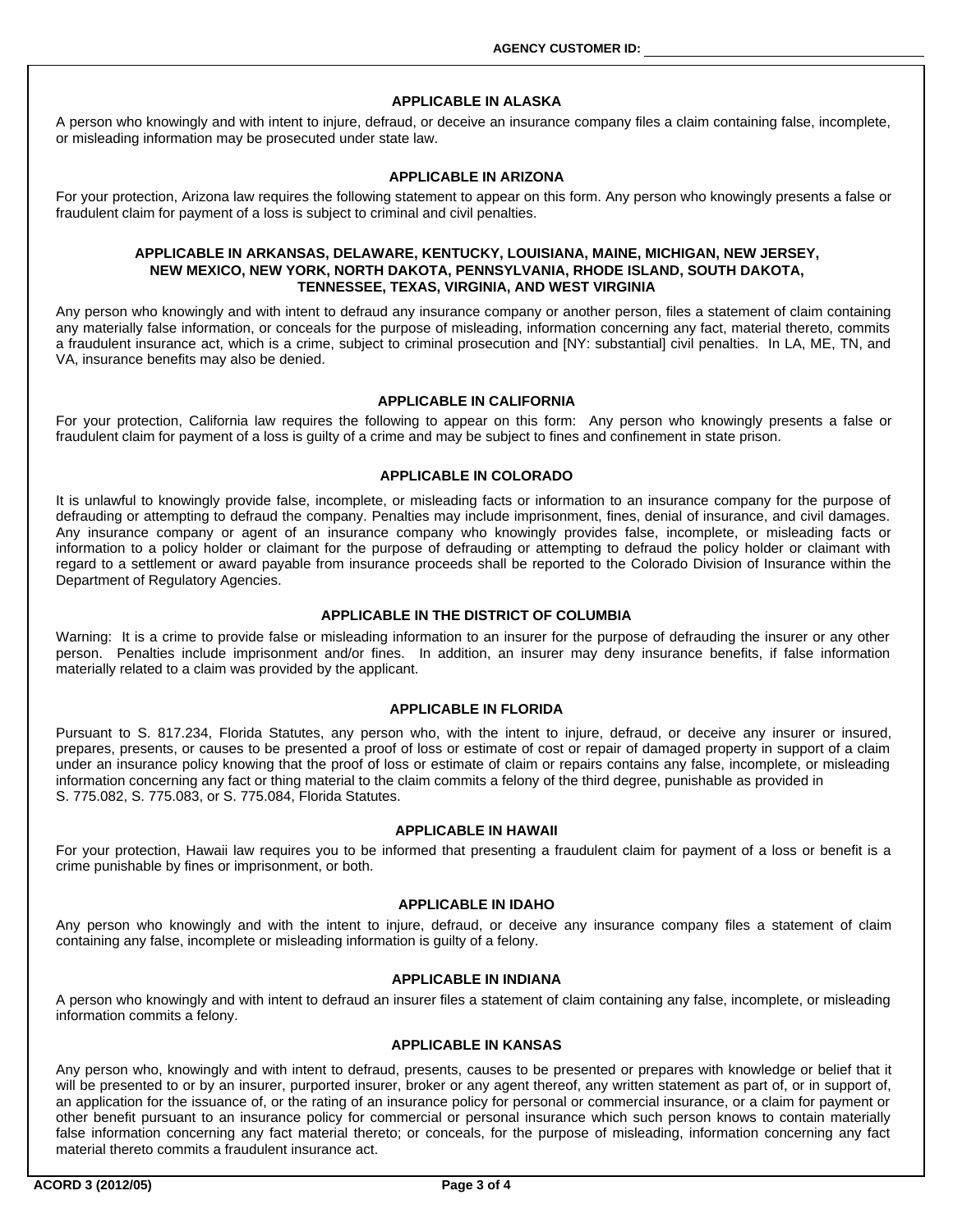### **APPLICABLE IN ALASKA**

A person who knowingly and with intent to injure, defraud, or deceive an insurance company files a claim containing false, incomplete, or misleading information may be prosecuted under state law.

#### **APPLICABLE IN ARIZONA**

For your protection, Arizona law requires the following statement to appear on this form. Any person who knowingly presents a false or fraudulent claim for payment of a loss is subject to criminal and civil penalties.

#### **APPLICABLE IN ARKANSAS, DELAWARE, KENTUCKY, LOUISIANA, MAINE, MICHIGAN, NEW JERSEY, NEW MEXICO, NEW YORK, NORTH DAKOTA, PENNSYLVANIA, RHODE ISLAND, SOUTH DAKOTA, TENNESSEE, TEXAS, VIRGINIA, AND WEST VIRGINIA**

Any person who knowingly and with intent to defraud any insurance company or another person, files a statement of claim containing any materially false information, or conceals for the purpose of misleading, information concerning any fact, material thereto, commits a fraudulent insurance act, which is a crime, subject to criminal prosecution and [NY: substantial] civil penalties. In LA, ME, TN, and VA, insurance benefits may also be denied.

### **APPLICABLE IN CALIFORNIA**

For your protection, California law requires the following to appear on this form: Any person who knowingly presents a false or fraudulent claim for payment of a loss is guilty of a crime and may be subject to fines and confinement in state prison.

#### **APPLICABLE IN COLORADO**

It is unlawful to knowingly provide false, incomplete, or misleading facts or information to an insurance company for the purpose of defrauding or attempting to defraud the company. Penalties may include imprisonment, fines, denial of insurance, and civil damages. Any insurance company or agent of an insurance company who knowingly provides false, incomplete, or misleading facts or information to a policy holder or claimant for the purpose of defrauding or attempting to defraud the policy holder or claimant with regard to a settlement or award payable from insurance proceeds shall be reported to the Colorado Division of Insurance within the Department of Regulatory Agencies.

### **APPLICABLE IN THE DISTRICT OF COLUMBIA**

Warning: It is a crime to provide false or misleading information to an insurer for the purpose of defrauding the insurer or any other person. Penalties include imprisonment and/or fines. In addition, an insurer may deny insurance benefits, if false information materially related to a claim was provided by the applicant.

### **APPLICABLE IN FLORIDA**

Pursuant to S. 817.234, Florida Statutes, any person who, with the intent to injure, defraud, or deceive any insurer or insured, prepares, presents, or causes to be presented a proof of loss or estimate of cost or repair of damaged property in support of a claim under an insurance policy knowing that the proof of loss or estimate of claim or repairs contains any false, incomplete, or misleading information concerning any fact or thing material to the claim commits a felony of the third degree, punishable as provided in S. 775.082, S. 775.083, or S. 775.084, Florida Statutes.

#### **APPLICABLE IN HAWAII**

For your protection, Hawaii law requires you to be informed that presenting a fraudulent claim for payment of a loss or benefit is a crime punishable by fines or imprisonment, or both.

#### **APPLICABLE IN IDAHO**

Any person who knowingly and with the intent to injure, defraud, or deceive any insurance company files a statement of claim containing any false, incomplete or misleading information is guilty of a felony.

### **APPLICABLE IN INDIANA**

A person who knowingly and with intent to defraud an insurer files a statement of claim containing any false, incomplete, or misleading information commits a felony.

### **APPLICABLE IN KANSAS**

Any person who, knowingly and with intent to defraud, presents, causes to be presented or prepares with knowledge or belief that it will be presented to or by an insurer, purported insurer, broker or any agent thereof, any written statement as part of, or in support of, an application for the issuance of, or the rating of an insurance policy for personal or commercial insurance, or a claim for payment or other benefit pursuant to an insurance policy for commercial or personal insurance which such person knows to contain materially false information concerning any fact material thereto; or conceals, for the purpose of misleading, information concerning any fact material thereto commits a fraudulent insurance act.